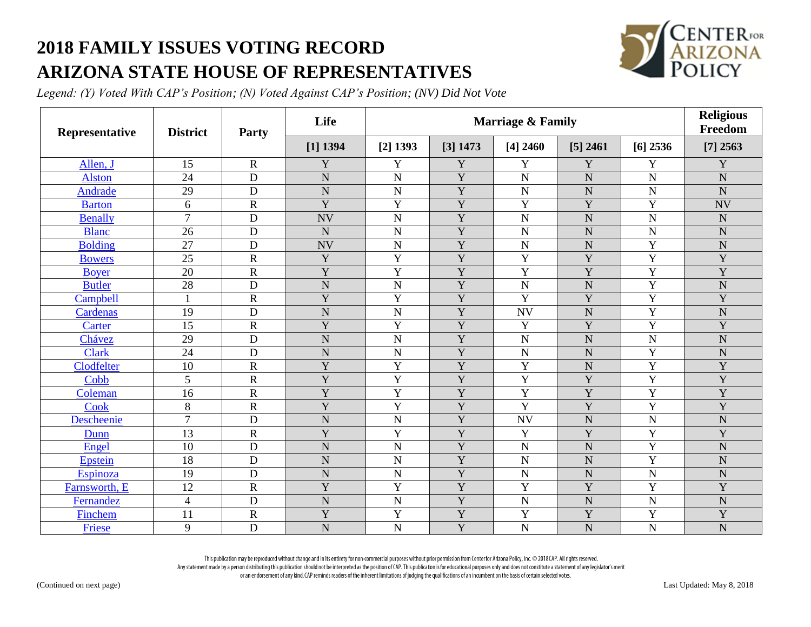## **2018 FAMILY ISSUES VOTING RECORD ARIZONA STATE HOUSE OF REPRESENTATIVES**



*Legend: (Y) Voted With CAP's Position; (N) Voted Against CAP's Position; (NV) Did Not Vote*

| Representative | <b>District</b> | Party                 | Life           | <b>Marriage &amp; Family</b> |                |                |                |                | <b>Religious</b><br>Freedom |
|----------------|-----------------|-----------------------|----------------|------------------------------|----------------|----------------|----------------|----------------|-----------------------------|
|                |                 |                       | $[1]$ 1394     | $[2]$ 1393                   | [3] 1473       | $[4]$ 2460     | $[5]$ 2461     | $[6]$ 2536     | $[7]$ 2563                  |
| Allen, J       | 15              | $\mathbf R$           | Y              | Y                            | Y              | Y              | Y              | Y              | Y                           |
| <b>Alston</b>  | 24              | D                     | $\mathbf N$    | ${\bf N}$                    | Y              | ${\bf N}$      | $\mathbf N$    | $\overline{N}$ | $\mathbf N$                 |
| Andrade        | 29              | D                     | $\overline{N}$ | ${\bf N}$                    | Y              | ${\bf N}$      | $\mathbf N$    | $\overline{N}$ | $\overline{N}$              |
| <b>Barton</b>  | 6               | $\mathbf R$           | Y              | Y                            | Y              | Y              | Y              | Y              | <b>NV</b>                   |
| <b>Benally</b> | $\overline{7}$  | $\mathbf D$           | <b>NV</b>      | ${\bf N}$                    | Y              | ${\bf N}$      | N              | N              | $\mathbf N$                 |
| <b>Blanc</b>   | 26              | D                     | N              | $\overline{N}$               | Y              | $\mathbf N$    | $\mathbf N$    | $\overline{N}$ | $\mathbf N$                 |
| <b>Bolding</b> | 27              | $\mathbf D$           | <b>NV</b>      | $\mathbf N$                  | Y              | ${\bf N}$      | N              | Y              | $\mathbf N$                 |
| <b>Bowers</b>  | 25              | $\mathbf R$           | Y              | $\overline{Y}$               | $\overline{Y}$ | $\overline{Y}$ | $\overline{Y}$ | $\overline{Y}$ | Y                           |
| <b>Boyer</b>   | 20              | $\overline{\text{R}}$ | Y              | Y                            | Y              | $\overline{Y}$ | Y              | Y              | Y                           |
| <b>Butler</b>  | 28              | D                     | $\overline{N}$ | ${\bf N}$                    | Y              | ${\bf N}$      | $\mathbf N$    | Y              | $\mathbf N$                 |
| Campbell       | $\mathbf{1}$    | $\overline{\text{R}}$ | Y              | Y                            | Y              | Y              | Y              | Y              | Y                           |
| Cardenas       | 19              | D                     | N              | $\mathbf N$                  | Y              | <b>NV</b>      | ${\bf N}$      | Y              | ${\bf N}$                   |
| Carter         | 15              | $\overline{\text{R}}$ | $\overline{Y}$ | $\mathbf Y$                  | Y              | Y              | Y              | $\overline{Y}$ | Y                           |
| Chávez         | 29              | D                     | N              | ${\bf N}$                    | Y              | ${\bf N}$      | ${\bf N}$      | $\overline{N}$ | $\mathbf N$                 |
| <b>Clark</b>   | 24              | D                     | $\overline{N}$ | ${\bf N}$                    | Y              | ${\bf N}$      | $\overline{N}$ | Y              | $\mathbf N$                 |
| Clodfelter     | 10              | $\mathsf{R}$          | Y              | Y                            | Y              | Y              | $\mathbf N$    | Y              | Y                           |
| Cobb           | 5               | $\overline{\text{R}}$ | Y              | Y                            | Y              | Y              | Y              | Y              | Y                           |
| Coleman        | 16              | $\mathbf R$           | Y              | $\overline{Y}$               | Y              | $\overline{Y}$ | $\mathbf Y$    | Y              | Y                           |
| Cook           | 8               | $\overline{\text{R}}$ | Y              | Y                            | Y              | Y              | Y              | Y              | Y                           |
| Descheenie     | $\overline{7}$  | D                     | $\overline{N}$ | $\overline{N}$               | Y              | <b>NV</b>      | $\mathbf N$    | $\overline{N}$ | $\mathbf N$                 |
| Dunn           | 13              | $\mathbf R$           | Y              | Y                            | Y              | Y              | Y              | Y              | Y                           |
| Engel          | 10              | D                     | $\overline{N}$ | $\overline{N}$               | Y              | $\mathbf N$    | $\overline{N}$ | Y              | N                           |
| <b>Epstein</b> | 18              | $\mathbf D$           | N              | ${\bf N}$                    | Y              | ${\bf N}$      | ${\bf N}$      | Y              | $\mathbf N$                 |
| Espinoza       | 19              | D                     | $\mathbf N$    | ${\bf N}$                    | Y              | ${\bf N}$      | N              | $\overline{N}$ | $\mathbf N$                 |
| Farnsworth, E  | 12              | $\overline{\text{R}}$ | Y              | Y                            | Y              | Y              | Y              | Y              | Y                           |
| Fernandez      | $\overline{4}$  | D                     | N              | $\overline{N}$               | Y              | ${\bf N}$      | $\mathbf N$    | $\overline{N}$ | N                           |
| Finchem        | 11              | $\overline{\text{R}}$ | Y              | $\overline{Y}$               | Y              | $\mathbf Y$    | $\mathbf Y$    | Y              | Y                           |
| Friese         | 9               | D                     | N              | $\overline{N}$               | Y              | $\mathbf N$    | $\mathbf N$    | N              | $\mathbf N$                 |

This publication may be reproduced without change and in its entirety for non-commercial purposes without prior permission from Center for Arizona Policy, Inc. © 2018 CAP. All rights reserved. Any statement made by a person distributing this publication should not be interpreted as the position of CAP. This publication is for educational purposes only and does not constitute a statement of any legislator's merit

or an endorsement of any kind. CAP reminds readers of the inherent limitations of judging the qualifications of an incumbent on the basis of certain selected votes.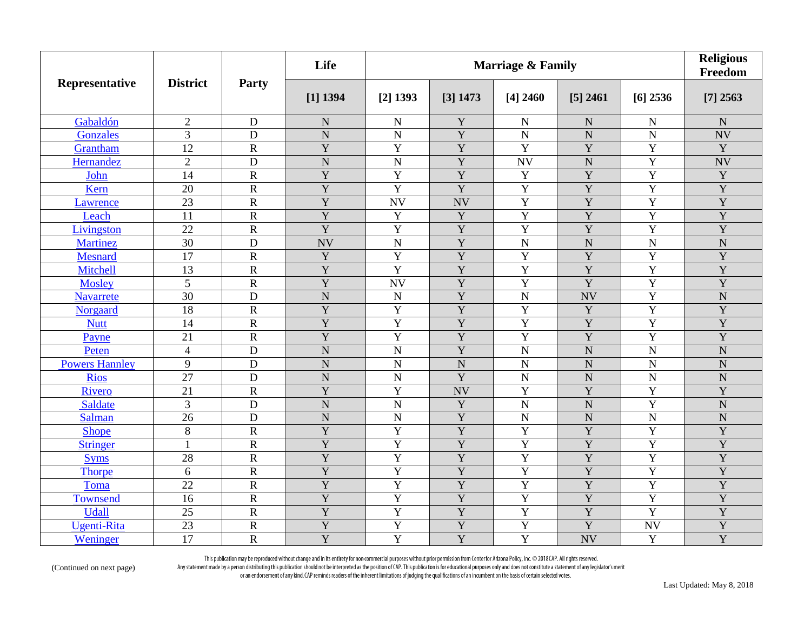|                       | <b>District</b> | Party                 | Life           | <b>Marriage &amp; Family</b> |                |                    |                       |                | <b>Religious</b><br>Freedom |
|-----------------------|-----------------|-----------------------|----------------|------------------------------|----------------|--------------------|-----------------------|----------------|-----------------------------|
| Representative        |                 |                       | $[1]$ 1394     | $[2]$ 1393                   | [3] 1473       | $[4]$ 2460         | $[5]$ 2461            | $[6]$ 2536     | $[7]$ 2563                  |
| Gabaldón              | $\overline{2}$  | $\mathbf D$           | $\mathbf N$    | $\mathbf N$                  | Y              | ${\bf N}$          | ${\bf N}$             | $\mathbf N$    | ${\bf N}$                   |
| Gonzales              | 3               | D                     | $\mathbf N$    | $\overline{N}$               | Y              | ${\bf N}$          | $\overline{N}$        | $\overline{N}$ | <b>NV</b>                   |
| Grantham              | $\overline{12}$ | $\overline{R}$        | $\overline{Y}$ | $\overline{Y}$               | $\overline{Y}$ | $\overline{Y}$     | $\overline{Y}$        | $\overline{Y}$ | $\overline{Y}$              |
| Hernandez             | $\overline{2}$  | $\mathbf D$           | $\overline{N}$ | $\overline{N}$               | $\overline{Y}$ | <b>NV</b>          | ${\bf N}$             | $\mathbf Y$    | <b>NV</b>                   |
| John                  | 14              | $\mathbf R$           | $\overline{Y}$ | $\overline{Y}$               | $\overline{Y}$ | $\mathbf Y$        | $\overline{Y}$        | $\overline{Y}$ | Y                           |
| Kern                  | 20              | ${\bf R}$             | $\overline{Y}$ | $\overline{Y}$               | $\overline{Y}$ | $\overline{Y}$     | Y                     | $\mathbf Y$    | Y                           |
| Lawrence              | $\overline{23}$ | $\mathbf R$           | $\overline{Y}$ | <b>NV</b>                    | <b>NV</b>      | $\overline{Y}$     | $\overline{Y}$        | $\overline{Y}$ | Y                           |
| Leach                 | 11              | $\mathbf R$           | Y              | Y                            | Y              | $\overline{Y}$     | Y                     | $\overline{Y}$ | Y                           |
| Livingston            | 22              | $\overline{R}$        | $\overline{Y}$ | $\overline{Y}$               | $\overline{Y}$ | $\overline{Y}$     | Y                     | Y              | $\overline{Y}$              |
| <b>Martinez</b>       | $\overline{30}$ | D                     | <b>NV</b>      | $\overline{N}$               | $\overline{Y}$ | $\overline{\rm N}$ | $\overline{\text{N}}$ | $\overline{N}$ | $\overline{\text{N}}$       |
| <b>Mesnard</b>        | $\overline{17}$ | $\mathbf R$           | Y              | $\overline{Y}$               | $\overline{Y}$ | $\overline{Y}$     | $\overline{Y}$        | $\overline{Y}$ | $\overline{Y}$              |
| Mitchell              | 13              | $\mathbf R$           | $\overline{Y}$ | $\overline{Y}$               | Y              | $\overline{Y}$     | Y                     | Y              | Y                           |
| Mosley                | 5               | $\mathbf R$           | Y              | <b>NV</b>                    | Y              | Y                  | Y                     | Y              | Y                           |
| <b>Navarrete</b>      | 30              | D                     | $\mathbf N$    | $\mathbf N$                  | Y              | ${\bf N}$          | <b>NV</b>             | Y              | $\overline{N}$              |
| Norgaard              | 18              | $\mathbf R$           | Y              | Y                            | Y              | $\overline{Y}$     | Y                     | $\mathbf Y$    | Y                           |
| <b>Nutt</b>           | 14              | $\mathbf R$           | Y              | Y                            | $\mathbf Y$    | $\mathbf Y$        | $\mathbf Y$           | Y              | Y                           |
| Payne                 | 21              | $\mathbf R$           | $\overline{Y}$ | $\overline{Y}$               | $\overline{Y}$ | Y                  | $\overline{Y}$        | Y              | $\overline{Y}$              |
| Peten                 | $\overline{4}$  | $\mathbf D$           | $\overline{N}$ | $\overline{N}$               | $\overline{Y}$ | $\overline{N}$     | ${\bf N}$             | $\overline{N}$ | $\mathbf N$                 |
| <b>Powers Hannley</b> | 9               | D                     | $\mathbf N$    | $\mathbf N$                  | $\mathbf N$    | ${\bf N}$          | ${\bf N}$             | $\mathbf N$    | $\mathbf N$                 |
| <b>Rios</b>           | 27              | D                     | $\mathbf N$    | $\mathbf N$                  | $\overline{Y}$ | $\overline{N}$     | ${\bf N}$             | $\mathbf N$    | $\mathbf N$                 |
| Rivero                | 21              | $\mathbf R$           | Y              | Y                            | <b>NV</b>      | Y                  | Y                     | Y              | Y                           |
| Saldate               | 3               | D                     | $\overline{N}$ | $\mathbf N$                  | Y              | $\overline{N}$     | $\mathbf N$           | Y              | $\overline{N}$              |
| <b>Salman</b>         | 26              | D                     | $\mathbf N$    | $\mathbf N$                  | Y              | $\overline{N}$     | $\mathbf N$           | N              | $\mathbf N$                 |
| <b>Shope</b>          | 8               | $\overline{\text{R}}$ | Y              | Y                            | $\overline{Y}$ | $\mathbf Y$        | $\overline{Y}$        | $\overline{Y}$ | Y                           |
| <b>Stringer</b>       | $\mathbf{1}$    | $\mathbf R$           | $\overline{Y}$ | Y                            | $\overline{Y}$ | Y                  | Y                     | Y              | $\overline{Y}$              |
| <b>Syms</b>           | 28              | $\mathbf R$           | $\overline{Y}$ | $\overline{Y}$               | $\overline{Y}$ | Y                  | $\overline{Y}$        | Y              | $\overline{Y}$              |
| <b>Thorpe</b>         | 6               | $\mathbf R$           | Y              | Y                            | Y              | Y                  | Y                     | Y              | Y                           |
| Toma                  | 22              | $\mathbf R$           | Y              | Y                            | $\overline{Y}$ | $\mathbf Y$        | Y                     | $\overline{Y}$ | Y                           |
| Townsend              | 16              | $\mathbf R$           | Y              | $\overline{Y}$               | Y              | $\mathbf Y$        | Y                     | Y              | Y                           |
| <b>Udall</b>          | 25              | $\overline{\text{R}}$ | Y              | Y                            | Y              | $\mathbf Y$        | $\overline{Y}$        | $\overline{Y}$ | Y                           |
| <b>Ugenti-Rita</b>    | 23              | $\mathbf R$           | $\overline{Y}$ | Y                            | $\overline{Y}$ | Y                  | Y                     | <b>NV</b>      | $\overline{Y}$              |
| Weninger              | 17              | $\mathbf R$           | Y              | $\overline{Y}$               | Y              | Y                  | <b>NV</b>             | Y              | Y                           |

This publication may be reproduced without change and in its entirety for non-commercial purposes without prior permission from Centerfor Arizona Policy, Inc. © 2018 CAP. All rights reserved.<br>Any statement made by a person

(Continued on next page)